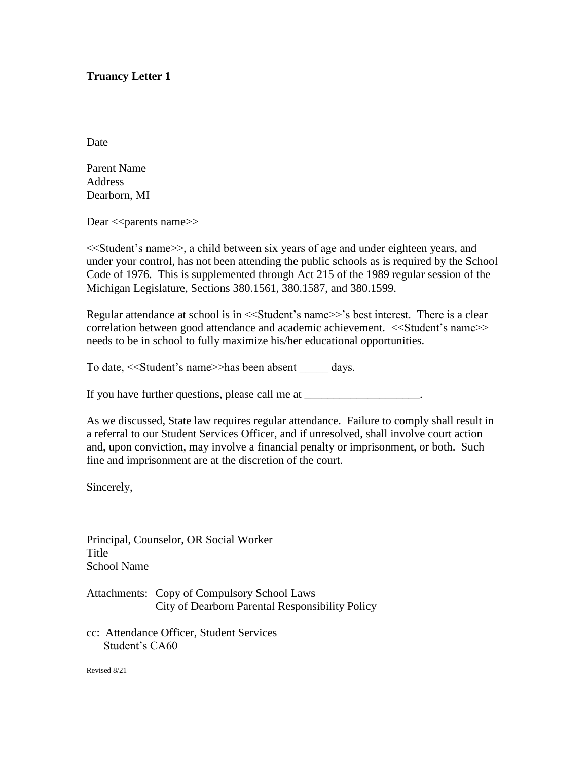## **Truancy Letter 1**

**Date** 

Parent Name Address Dearborn, MI

Dear << parents name>>

<<Student's name>>, a child between six years of age and under eighteen years, and under your control, has not been attending the public schools as is required by the School Code of 1976. This is supplemented through Act 215 of the 1989 regular session of the Michigan Legislature, Sections 380.1561, 380.1587, and 380.1599.

Regular attendance at school is in <<Student's name>>'s best interest. There is a clear correlation between good attendance and academic achievement. <<Student's name>> needs to be in school to fully maximize his/her educational opportunities.

To date, <<Student's name>>has been absent \_\_\_\_\_ days.

If you have further questions, please call me at \_\_\_\_\_\_\_\_\_\_\_\_\_\_\_\_\_\_\_\_\_.

As we discussed, State law requires regular attendance. Failure to comply shall result in a referral to our Student Services Officer, and if unresolved, shall involve court action and, upon conviction, may involve a financial penalty or imprisonment, or both. Such fine and imprisonment are at the discretion of the court.

Sincerely,

Principal, Counselor, OR Social Worker **Title** School Name

Attachments: Copy of Compulsory School Laws City of Dearborn Parental Responsibility Policy

cc: Attendance Officer, Student Services Student's CA60

Revised 8/21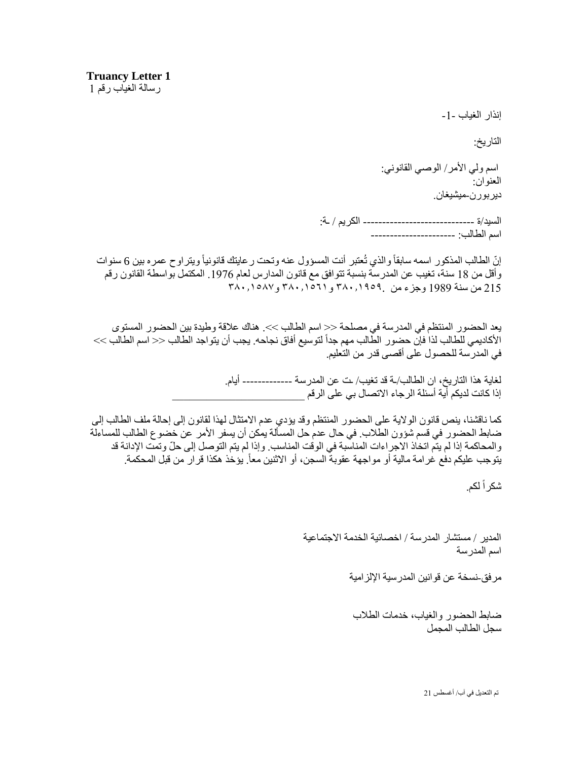إنذار الغياب -1-

التاريخ:

اسم ولي الأمر/ الوصبي القانوني: العنوان: ديربورن-ميشيغان.

السيد/ة ----------------------------- الكريم / ـة: اسم الطالب: ----------------------

إنّ الطالب المذكور اسمه سابقاً والذي تُعتبر أنت المسؤول عنه وتحت رعايتك قانونياً ويتراوح عمره بين 6 سنوات وأقل من 18 سنة، تغيب عن المدرسة بنسبة تتوافق مع قانون المدارس لعام .1976 المكتمل بواسطة القانون رقم 215 من سنة 1989 وجزء من ٣٨٠.١٩٥٩. و٣٨٠.١٥٦١ و٣٨٠.١٥٨٧

يعد الحضور المنتظم في المدرسة في مصلحة << اسم الطالب >>. هناك علاقة وطيدة بين الحضور المستوى الأكاديمي للطالب لذا فإن حضور الطّالب مهم جداً لتوسيع أفاق نجاحه. يجب أن يتواجد الطالب << اسم الطالب >> في المدرسة للحصول على أقصى قدر من التعليم.

> لغاية هذا التاريخ، ان الطالب/ـة قد تغيب/ ـت عن المدرسة ------------- أيام. إذا كانت لديكم أية أسئلة الرجاء الاتصال بي على الرقم

كما ناقشنا، ينص قانون الوالية على الحضور المنتظم وقد يؤدي عدم االمتثال لهذا لقانون إلى إحالة ملف الطالب إلى ضابط الحضور في قسم شؤون الطالب. في حال عدم حل المسألة يمكن أن يسفر األمر عن خضوع الطالب للمساءلة والمحاكمة إذا لم يتّم اتخاذ الاجراءات المناسبة في الوقت المناسب. وإذا لم يتم التوصل إلى حلّ وتمتّ الإدانة قد يتوجب عليكم دفع غرامة مالية أو مواجهة عقوبة السجن، أو الاثنين معاً. يؤخذ هكذا قرار من قبل المحكمة.

شكراً لكم.

المدير / مستشار المدرسة / اخصائية الخدمة االجتماعية اسم المدرسة

مرفق-نسخة عن قوانين المدرسية اإللزامية

ضابط الحضور والغياب، خدمات الطالب سجل الطالب المجمل

تم التعديل في آب/ أغسطس 21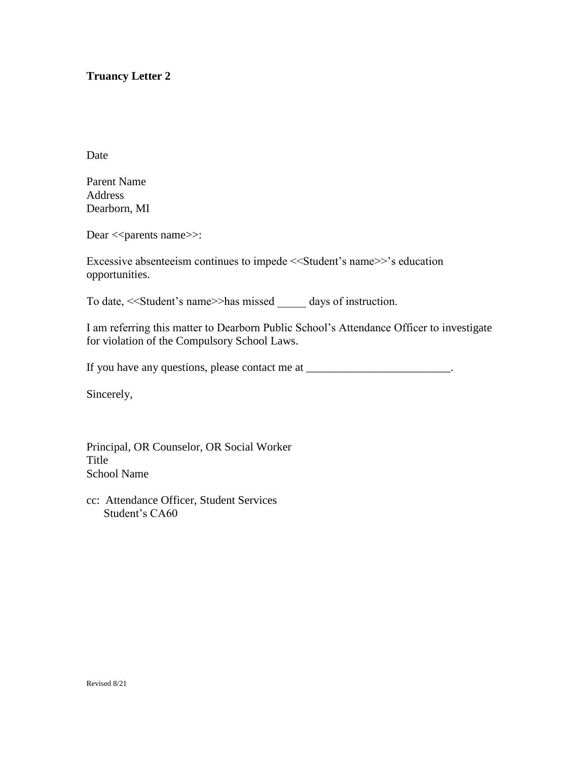## **Truancy Letter 2**

Date

Parent Name Address Dearborn, MI

Dear << parents name >>:

Excessive absenteeism continues to impede <<Student's name>>'s education opportunities.

To date, << Student's name >> has missed days of instruction.

I am referring this matter to Dearborn Public School's Attendance Officer to investigate for violation of the Compulsory School Laws.

If you have any questions, please contact me at \_\_\_\_\_\_\_\_\_\_\_\_\_\_\_\_\_\_\_\_\_\_\_\_\_.

Sincerely,

Principal, OR Counselor, OR Social Worker Title School Name

cc: Attendance Officer, Student Services Student's CA60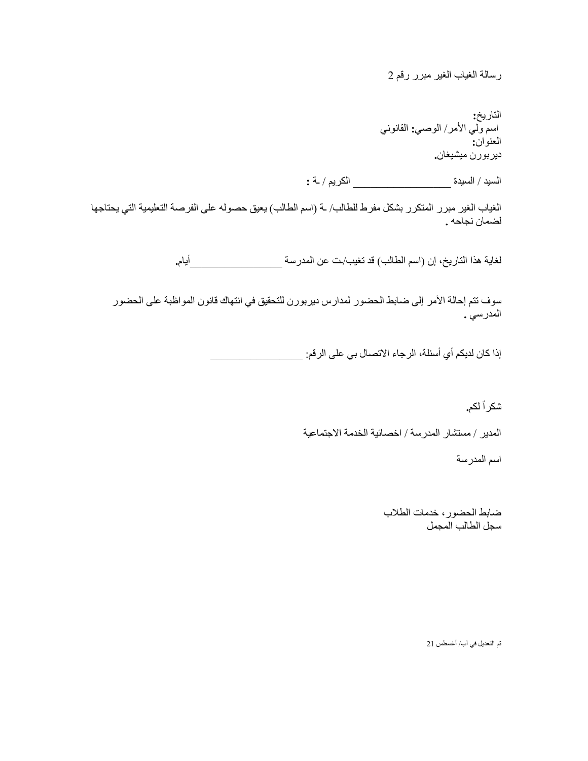رسالة الغياب الغير مبرر رقم 2

التاريخ**:** اسم ولي األمر/ الوصي**:** القانوني العنوان**:** ديربورن ميشيغان**.**

السيد / السيدة \_\_\_\_\_\_\_\_\_\_\_\_\_\_\_\_\_ الكريم / ـة **:**

الغياب الغير مبرر المتكرر بشكل مفرط للطالب/ ـة (اسم الطالب) يعيق حصوله على الفرصة التعليمية التي يحتاجها لضمان نجاحه **.**

لغاية هذا التاريخ، إن )اسم الطالب( قد تغيب/ـت عن المدرسة \_\_\_\_\_\_\_\_\_\_\_\_\_\_\_\_أيام**.**

سوف تتم إحالة الأمر إلى ضابط الحضور لمدارس ديربورن للتحقيق في انتهاك قانون المواظبة على الحضور المدرسي **.**

إذا كان لديكم أي أسئلة، الرجاء االتصال بي على الرقم: \_\_\_\_\_\_\_\_\_\_\_\_\_\_\_\_

شكر اً لكم**.** 

المدير / مستشار المدرسة / اخصائية الخدمة االجتماعية

اسم المدرسة

ضابط الحضور، خدمات الطالب سجل الطالب المجمل

تم التعديل في آب/ أغسطس 21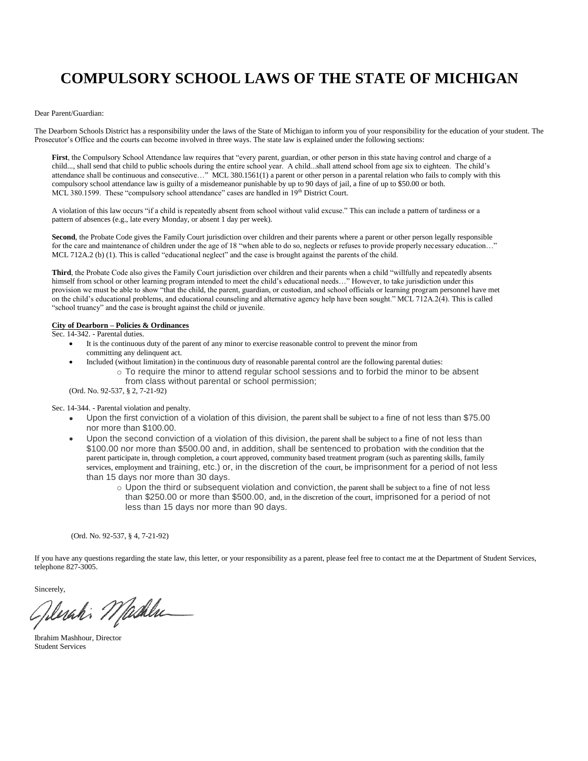# **COMPULSORY SCHOOL LAWS OF THE STATE OF MICHIGAN**

#### Dear Parent/Guardian:

The Dearborn Schools District has a responsibility under the laws of the State of Michigan to inform you of your responsibility for the education of your student. The Prosecutor's Office and the courts can become involved in three ways. The state law is explained under the following sections:

**First**, the Compulsory School Attendance law requires that "every parent, guardian, or other person in this state having control and charge of a child..., shall send that child to public schools during the entire school year. A child...shall attend school from age six to eighteen. The child's attendance shall be continuous and consecutive…" MCL 380.1561(1) a parent or other person in a parental relation who fails to comply with this compulsory school attendance law is guilty of a misdemeanor punishable by up to 90 days of jail, a fine of up to \$50.00 or both. MCL 380.1599. These "compulsory school attendance" cases are handled in 19th District Court.

A violation of this law occurs "if a child is repeatedly absent from school without valid excuse." This can include a pattern of tardiness or a pattern of absences (e.g., late every Monday, or absent 1 day per week).

**Second**, the Probate Code gives the Family Court jurisdiction over children and their parents where a parent or other person legally responsible for the care and maintenance of children under the age of 18 "when able to do so, neglects or refuses to provide properly necessary education..." MCL 712A.2 (b) (1). This is called "educational neglect" and the case is brought against the parents of the child.

**Third**, the Probate Code also gives the Family Court jurisdiction over children and their parents when a child "willfully and repeatedly absents himself from school or other learning program intended to meet the child's educational needs…" However, to take jurisdiction under this provision we must be able to show "that the child, the parent, guardian, or custodian, and school officials or learning program personnel have met on the child's educational problems, and educational counseling and alternative agency help have been sought." MCL 712A.2(4). This is called "school truancy" and the case is brought against the child or juvenile.

#### **City of Dearborn – Policies & Ordinances**

Sec. 14-342. - Parental duties.

- It is the continuous duty of the parent of any minor to exercise reasonable control to prevent the minor from committing any delinquent act.
- Included (without limitation) in the continuous duty of reasonable parental control are the following parental duties:
	- $\circ$  To require the minor to attend regular school sessions and to forbid the minor to be absent from class without parental or school permission;

(Ord. No. 92-537, § 2, 7-21-92)

Sec. 14-344. - Parental violation and penalty.

- Upon the first conviction of a violation of this division, the parent shall be subject to a fine of not less than \$75.00 nor more than \$100.00.
- Upon the second conviction of a violation of this division, the parent shall be subject to a fine of not less than \$100.00 nor more than \$500.00 and, in addition, shall be sentenced to probation with the condition that the parent participate in, through completion, a court approved, community based treatment program (such as parenting skills, family services, employment and training, etc.) or, in the discretion of the court, be imprisonment for a period of not less than 15 days nor more than 30 days.
	- $\circ$  Upon the third or subsequent violation and conviction, the parent shall be subject to a fine of not less than \$250.00 or more than \$500.00, and, in the discretion of the court, imprisoned for a period of not less than 15 days nor more than 90 days.

(Ord. No. 92-537, § 4, 7-21-92)

If you have any questions regarding the state law, this letter, or your responsibility as a parent, please feel free to contact me at the Department of Student Services, telephone 827-3005.

Sincerely,

Gileraki Madelu

Ibrahim Mashhour, Director Student Services